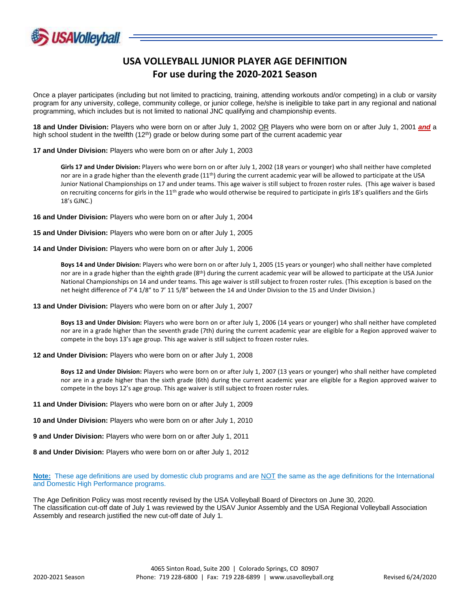

## **USA VOLLEYBALL JUNIOR PLAYER AGE DEFINITION For use during the 2020-2021 Season**

Once a player participates (including but not limited to practicing, training, attending workouts and/or competing) in a club or varsity program for any university, college, community college, or junior college, he/she is ineligible to take part in any regional and national programming, which includes but is not limited to national JNC qualifying and championship events.

**18 and Under Division:** Players who were born on or after July 1, 2002 OR Players who were born on or after July 1, 2001 *and* a high school student in the twelfth (12<sup>th</sup>) grade or below during some part of the current academic year

**17 and Under Division:** Players who were born on or after July 1, 2003

**Girls 17 and Under Division:** Players who were born on or after July 1, 2002 (18 years or younger) who shall neither have completed nor are in a grade higher than the eleventh grade  $(11<sup>th</sup>)$  during the current academic year will be allowed to participate at the USA Junior National Championships on 17 and under teams. This age waiver is still subject to frozen roster rules. (This age waiver is based on recruiting concerns for girls in the 11<sup>th</sup> grade who would otherwise be required to participate in girls 18's qualifiers and the Girls 18's GJNC.)

**16 and Under Division:** Players who were born on or after July 1, 2004

**15 and Under Division:** Players who were born on or after July 1, 2005

**14 and Under Division:** Players who were born on or after July 1, 2006

**Boys 14 and Under Division:** Players who were born on or after July 1, 2005 (15 years or younger) who shall neither have completed nor are in a grade higher than the eighth grade (8<sup>th</sup>) during the current academic year will be allowed to participate at the USA Junior National Championships on 14 and under teams. This age waiver is still subject to frozen roster rules. (This exception is based on the net height difference of 7'4 1/8" to 7' 11 5/8" between the 14 and Under Division to the 15 and Under Division.)

**13 and Under Division:** Players who were born on or after July 1, 2007

**Boys 13 and Under Division:** Players who were born on or after July 1, 2006 (14 years or younger) who shall neither have completed nor are in a grade higher than the seventh grade (7th) during the current academic year are eligible for a Region approved waiver to compete in the boys 13's age group. This age waiver is still subject to frozen roster rules.

**12 and Under Division:** Players who were born on or after July 1, 2008

**Boys 12 and Under Division:** Players who were born on or after July 1, 2007 (13 years or younger) who shall neither have completed nor are in a grade higher than the sixth grade (6th) during the current academic year are eligible for a Region approved waiver to compete in the boys 12's age group. This age waiver is still subject to frozen roster rules.

**11 and Under Division:** Players who were born on or after July 1, 2009

**10 and Under Division:** Players who were born on or after July 1, 2010

**9 and Under Division:** Players who were born on or after July 1, 2011

**8 and Under Division:** Players who were born on or after July 1, 2012

**Note:** These age definitions are used by domestic club programs and are NOT the same as the age definitions for the International and Domestic High Performance programs.

The Age Definition Policy was most recently revised by the USA Volleyball Board of Directors on June 30, 2020. The classification cut-off date of July 1 was reviewed by the USAV Junior Assembly and the USA Regional Volleyball Association Assembly and research justified the new cut-off date of July 1.